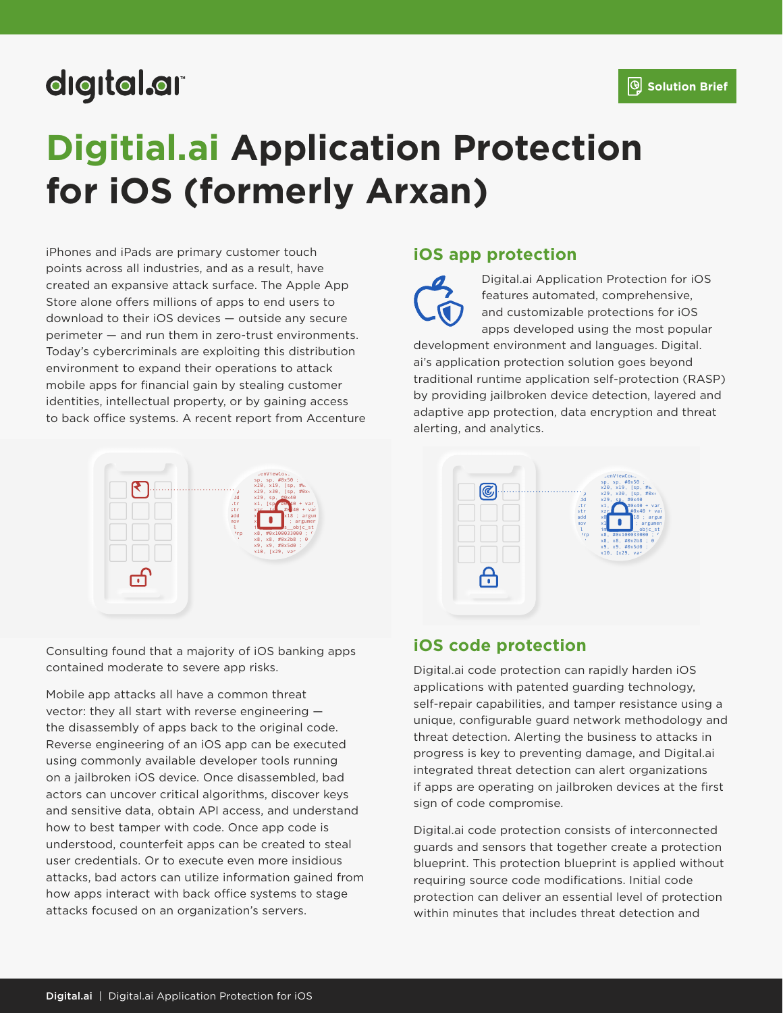## digital.ar

# **Digitial.ai Application Protection for iOS (formerly Arxan)**

iPhones and iPads are primary customer touch points across all industries, and as a result, have created an expansive attack surface. The Apple App Store alone offers millions of apps to end users to download to their iOS devices — outside any secure perimeter — and run them in zero-trust environments. Today's cybercriminals are exploiting this distribution environment to expand their operations to attack mobile apps for financial gain by stealing customer identities, intellectual property, or by gaining access to back office systems. A recent report from Accenture



Consulting found that a majority of iOS banking apps contained moderate to severe app risks.

Mobile app attacks all have a common threat vector: they all start with reverse engineering the disassembly of apps back to the original code. Reverse engineering of an iOS app can be executed using commonly available developer tools running on a jailbroken iOS device. Once disassembled, bad actors can uncover critical algorithms, discover keys and sensitive data, obtain API access, and understand how to best tamper with code. Once app code is understood, counterfeit apps can be created to steal user credentials. Or to execute even more insidious attacks, bad actors can utilize information gained from how apps interact with back office systems to stage attacks focused on an organization's servers.

#### **iOS app protection**

Digital.ai Application Protection for iOS features automated, comprehensive, and customizable protections for iOS apps developed using the most popular

development environment and languages. Digital. ai's application protection solution goes beyond traditional runtime application self-protection (RASP) by providing jailbroken device detection, layered and adaptive app protection, data encryption and threat alerting, and analytics.



#### **iOS code protection**

Digital.ai code protection can rapidly harden iOS applications with patented guarding technology, self-repair capabilities, and tamper resistance using a unique, configurable guard network methodology and threat detection. Alerting the business to attacks in progress is key to preventing damage, and Digital.ai integrated threat detection can alert organizations if apps are operating on jailbroken devices at the first sign of code compromise.

Digital.ai code protection consists of interconnected guards and sensors that together create a protection blueprint. This protection blueprint is applied without requiring source code modifications. Initial code protection can deliver an essential level of protection within minutes that includes threat detection and